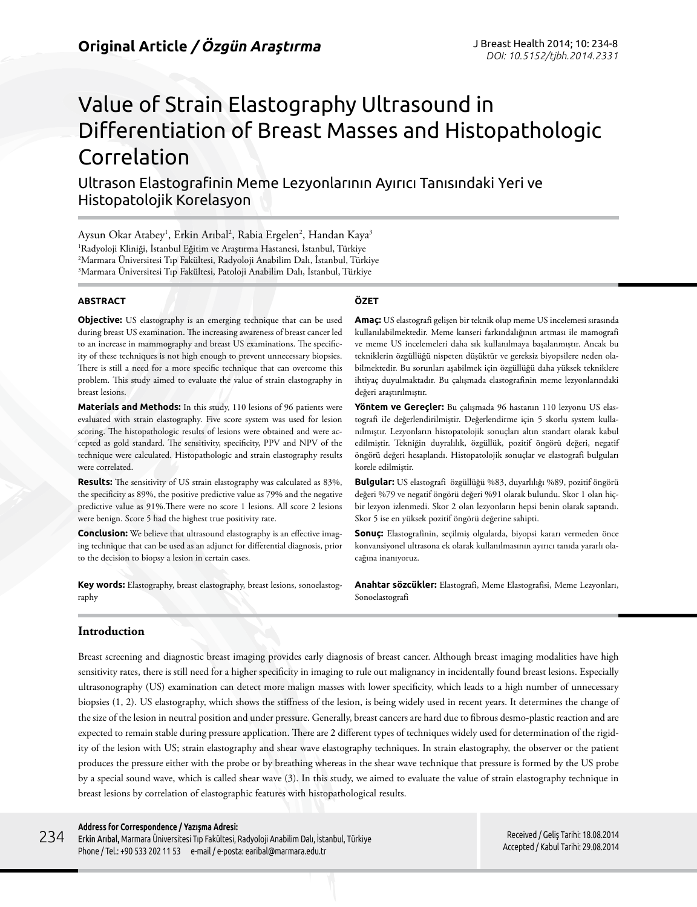# Value of Strain Elastography Ultrasound in Differentiation of Breast Masses and Histopathologic Correlation

Ultrason Elastografinin Meme Lezyonlarının Ayırıcı Tanısındaki Yeri ve Histopatolojik Korelasyon

Aysun Okar Atabey<sup>ı</sup>, Erkin Arıbal<sup>2</sup>, Rabia Ergelen<sup>2</sup>, Handan Kaya<sup>3</sup> Radyoloji Kliniği, İstanbul Eğitim ve Araştırma Hastanesi, İstanbul, Türkiye Marmara Üniversitesi Tıp Fakültesi, Radyoloji Anabilim Dalı, İstanbul, Türkiye Marmara Üniversitesi Tıp Fakültesi, Patoloji Anabilim Dalı, İstanbul, Türkiye

## **ABSTRACT**

**Objective:** US elastography is an emerging technique that can be used during breast US examination. The increasing awareness of breast cancer led to an increase in mammography and breast US examinations. The specificity of these techniques is not high enough to prevent unnecessary biopsies. There is still a need for a more specific technique that can overcome this problem. This study aimed to evaluate the value of strain elastography in breast lesions.

**Materials and Methods:** In this study, 110 lesions of 96 patients were evaluated with strain elastography. Five score system was used for lesion scoring. The histopathologic results of lesions were obtained and were accepted as gold standard. The sensitivity, specificity, PPV and NPV of the technique were calculated. Histopathologic and strain elastography results were correlated.

**Results:** The sensitivity of US strain elastography was calculated as 83%, the specificity as 89%, the positive predictive value as 79% and the negative predictive value as 91%.There were no score 1 lesions. All score 2 lesions were benign. Score 5 had the highest true positivity rate.

**Conclusion:** We believe that ultrasound elastography is an effective imaging technique that can be used as an adjunct for differential diagnosis, prior to the decision to biopsy a lesion in certain cases.

**Key words:** Elastography, breast elastography, breast lesions, sonoelastography

## **ÖZET**

**Amaç:** US elastografi gelişen bir teknik olup meme US incelemesi sırasında kullanılabilmektedir. Meme kanseri farkındalığının artması ile mamografi ve meme US incelemeleri daha sık kullanılmaya başalanmıştır. Ancak bu tekniklerin özgüllüğü nispeten düşüktür ve gereksiz biyopsilere neden olabilmektedir. Bu sorunları aşabilmek için özgüllüğü daha yüksek tekniklere ihtiyaç duyulmaktadır. Bu çalışmada elastografinin meme lezyonlarındaki değeri araştırılmıştır.

**Yöntem ve Gereçler:** Bu çalışmada 96 hastanın 110 lezyonu US elastografi iIe değerlendirilmiştir. Değerlendirme için 5 skorlu system kullanılmıştır. Lezyonların histopatolojik sonuçları altın standart olarak kabul edilmiştir. Tekniğin duyralılık, özgüllük, pozitif öngörü değeri, negatif öngörü değeri hesaplandı. Histopatolojik sonuçlar ve elastografi bulguları korele edilmiştir.

**Bulgular:** US elastografi özgüllüğü %83, duyarlılığı %89, pozitif öngörü değeri %79 ve negatif öngörü değeri %91 olarak bulundu. Skor 1 olan hiçbir lezyon izlenmedi. Skor 2 olan lezyonların hepsi benin olarak saptandı. Skor 5 ise en yüksek pozitif öngörü değerine sahipti.

**Sonuç:** Elastografinin, seçilmiş olgularda, biyopsi kararı vermeden önce konvansiyonel ultrasona ek olarak kullanılmasının ayırıcı tanıda yararlı olacağına inanıyoruz.

**Anahtar sözcükler:** Elastografi, Meme Elastografisi, Meme Lezyonları, Sonoelastografi

# **Introduction**

Breast screening and diagnostic breast imaging provides early diagnosis of breast cancer. Although breast imaging modalities have high sensitivity rates, there is still need for a higher specificity in imaging to rule out malignancy in incidentally found breast lesions. Especially ultrasonography (US) examination can detect more malign masses with lower specificity, which leads to a high number of unnecessary biopsies (1, 2). US elastography, which shows the stiffness of the lesion, is being widely used in recent years. It determines the change of the size of the lesion in neutral position and under pressure. Generally, breast cancers are hard due to fibrous desmo-plastic reaction and are expected to remain stable during pressure application. There are 2 different types of techniques widely used for determination of the rigidity of the lesion with US; strain elastography and shear wave elastography techniques. In strain elastography, the observer or the patient produces the pressure either with the probe or by breathing whereas in the shear wave technique that pressure is formed by the US probe by a special sound wave, which is called shear wave (3). In this study, we aimed to evaluate the value of strain elastography technique in breast lesions by correlation of elastographic features with histopathological results.

#### **Address for Correspondence / Yazışma Adresi:**

المستوى المستقوى المستقوى المستقوى المستقوى المستقوى المستقوى المستقوى المستقوى المستقوى المستقول المستقول المستقول المستقول المستقول المستقول المستقول المستقول المستقول المستقول المستقول المستقول المستقول المستقول المستق Phone / Tel.: +90 533 202 11 53 e-mail / e-posta: earibal@marmara.edu.tr

Received / Geliş Tarihi: 18.08.2014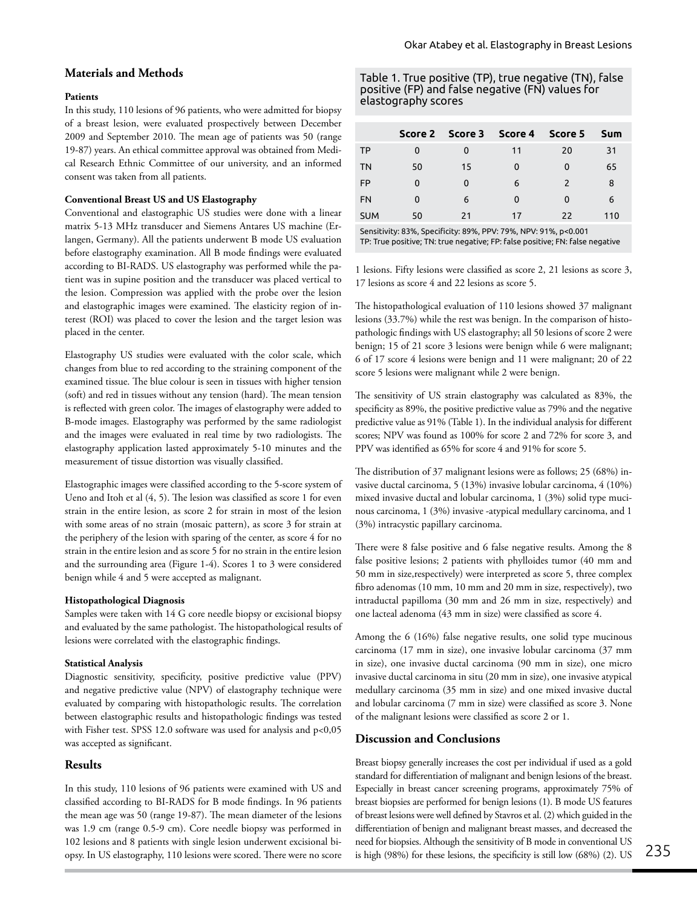# **Materials and Methods**

#### **Patients**

In this study, 110 lesions of 96 patients, who were admitted for biopsy of a breast lesion, were evaluated prospectively between December 2009 and September 2010. The mean age of patients was 50 (range 19-87) years. An ethical committee approval was obtained from Medical Research Ethnic Committee of our university, and an informed consent was taken from all patients.

## **Conventional Breast US and US Elastography**

Conventional and elastographic US studies were done with a linear matrix 5-13 MHz transducer and Siemens Antares US machine (Erlangen, Germany). All the patients underwent B mode US evaluation before elastography examination. All B mode findings were evaluated according to BI-RADS. US elastography was performed while the patient was in supine position and the transducer was placed vertical to the lesion. Compression was applied with the probe over the lesion and elastographic images were examined. The elasticity region of interest (ROI) was placed to cover the lesion and the target lesion was placed in the center.

Elastography US studies were evaluated with the color scale, which changes from blue to red according to the straining component of the examined tissue. The blue colour is seen in tissues with higher tension (soft) and red in tissues without any tension (hard). The mean tension is reflected with green color. The images of elastography were added to B-mode images. Elastography was performed by the same radiologist and the images were evaluated in real time by two radiologists. The elastography application lasted approximately 5-10 minutes and the measurement of tissue distortion was visually classified.

Elastographic images were classified according to the 5-score system of Ueno and Itoh et al (4, 5). The lesion was classified as score 1 for even strain in the entire lesion, as score 2 for strain in most of the lesion with some areas of no strain (mosaic pattern), as score 3 for strain at the periphery of the lesion with sparing of the center, as score 4 for no strain in the entire lesion and as score 5 for no strain in the entire lesion and the surrounding area (Figure 1-4). Scores 1 to 3 were considered benign while 4 and 5 were accepted as malignant.

#### **Histopathological Diagnosis**

Samples were taken with 14 G core needle biopsy or excisional biopsy and evaluated by the same pathologist. The histopathological results of lesions were correlated with the elastographic findings.

#### **Statistical Analysis**

Diagnostic sensitivity, specificity, positive predictive value (PPV) and negative predictive value (NPV) of elastography technique were evaluated by comparing with histopathologic results. The correlation between elastographic results and histopathologic findings was tested with Fisher test. SPSS 12.0 software was used for analysis and p<0,05 was accepted as significant.

# **Results**

In this study, 110 lesions of 96 patients were examined with US and classified according to BI-RADS for B mode findings. In 96 patients the mean age was 50 (range 19-87). The mean diameter of the lesions was 1.9 cm (range 0.5-9 cm). Core needle biopsy was performed in 102 lesions and 8 patients with single lesion underwent excisional biopsy. In US elastography, 110 lesions were scored. There were no score

Table 1. True positive (TP), true negative (TN), false positive (FP) and false negative (FN) values for elastography scores

|            |          |    | Score 2 Score 3 Score 4 Score 5 |               | <b>Sum</b> |
|------------|----------|----|---------------------------------|---------------|------------|
| <b>TP</b>  | 0        | 0  | 11                              | 20            | 31         |
| TN         | 50       | 15 | $\Omega$                        | 0             | 65         |
| <b>FP</b>  | $\Omega$ | 0  | 6                               | $\mathcal{P}$ | 8          |
| <b>FN</b>  | $\Omega$ | 6  | $\Omega$                        | O             | 6          |
| <b>SUM</b> | 50       | 21 | 17                              | 22            | 110        |

Sensitivity: 83%, Specificity: 89%, PPV: 79%, NPV: 91%, p<0.001 TP: True positive; TN: true negative; FP: false positive; FN: false negative

1 lesions. Fifty lesions were classified as score 2, 21 lesions as score 3, 17 lesions as score 4 and 22 lesions as score 5.

The histopathological evaluation of 110 lesions showed 37 malignant lesions (33.7%) while the rest was benign. In the comparison of histopathologic findings with US elastography; all 50 lesions of score 2 were benign; 15 of 21 score 3 lesions were benign while 6 were malignant; 6 of 17 score 4 lesions were benign and 11 were malignant; 20 of 22 score 5 lesions were malignant while 2 were benign.

The sensitivity of US strain elastography was calculated as 83%, the specificity as 89%, the positive predictive value as 79% and the negative predictive value as 91% (Table 1). In the individual analysis for different scores; NPV was found as 100% for score 2 and 72% for score 3, and PPV was identified as 65% for score 4 and 91% for score 5.

The distribution of 37 malignant lesions were as follows; 25 (68%) invasive ductal carcinoma, 5 (13%) invasive lobular carcinoma, 4 (10%) mixed invasive ductal and lobular carcinoma, 1 (3%) solid type mucinous carcinoma, 1 (3%) invasive -atypical medullary carcinoma, and 1 (3%) intracystic papillary carcinoma.

There were 8 false positive and 6 false negative results. Among the 8 false positive lesions; 2 patients with phylloides tumor (40 mm and 50 mm in size,respectively) were interpreted as score 5, three complex fibro adenomas (10 mm, 10 mm and 20 mm in size, respectively), two intraductal papilloma (30 mm and 26 mm in size, respectively) and one lacteal adenoma (43 mm in size) were classified as score 4.

Among the 6 (16%) false negative results, one solid type mucinous carcinoma (17 mm in size), one invasive lobular carcinoma (37 mm in size), one invasive ductal carcinoma (90 mm in size), one micro invasive ductal carcinoma in situ (20 mm in size), one invasive atypical medullary carcinoma (35 mm in size) and one mixed invasive ductal and lobular carcinoma (7 mm in size) were classified as score 3. None of the malignant lesions were classified as score 2 or 1.

# **Discussion and Conclusions**

Breast biopsy generally increases the cost per individual if used as a gold standard for differentiation of malignant and benign lesions of the breast. Especially in breast cancer screening programs, approximately 75% of breast biopsies are performed for benign lesions (1). B mode US features of breast lesions were well defined by Stavros et al. (2) which guided in the differentiation of benign and malignant breast masses, and decreased the need for biopsies. Although the sensitivity of B mode in conventional US is high (98%) for these lesions, the specificity is still low (68%) (2). US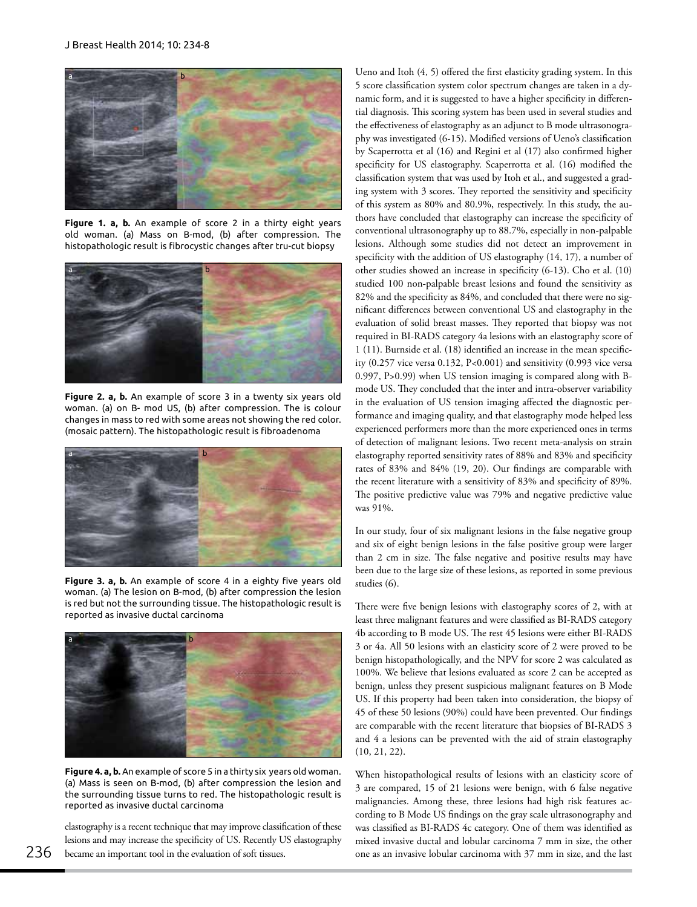

**Figure 1. a, b.** An example of score 2 in a thirty eight years old woman. (a) Mass on B-mod, (b) after compression. The histopathologic result is fibrocystic changes after tru-cut biopsy



**Figure 2. a, b.** An example of score 3 in a twenty six years old woman. (a) on B- mod US, (b) after compression. The is colour changes in mass to red with some areas not showing the red color. (mosaic pattern). The histopathologic result is fibroadenoma



**Figure 3. a, b.** An example of score 4 in a eighty five years old woman. (a) The lesion on B-mod, (b) after compression the lesion is red but not the surrounding tissue. The histopathologic result is reported as invasive ductal carcinoma



**Figure 4. a, b.** An example of score 5 in a thirty six years old woman. (a) Mass is seen on B-mod, (b) after compression the lesion and the surrounding tissue turns to red. The histopathologic result is reported as invasive ductal carcinoma

elastography is a recent technique that may improve classification of these lesions and may increase the specificity of US. Recently US elastography became an important tool in the evaluation of soft tissues.

Ueno and Itoh (4, 5) offered the first elasticity grading system. In this 5 score classification system color spectrum changes are taken in a dynamic form, and it is suggested to have a higher specificity in differential diagnosis. This scoring system has been used in several studies and the effectiveness of elastography as an adjunct to B mode ultrasonography was investigated (6-15). Modified versions of Ueno's classification by Scaperrotta et al (16) and Regini et al (17) also confirmed higher specificity for US elastography. Scaperrotta et al. (16) modified the classification system that was used by Itoh et al., and suggested a grading system with 3 scores. They reported the sensitivity and specificity of this system as 80% and 80.9%, respectively. In this study, the authors have concluded that elastography can increase the specificity of conventional ultrasonography up to 88.7%, especially in non-palpable lesions. Although some studies did not detect an improvement in specificity with the addition of US elastography (14, 17), a number of other studies showed an increase in specificity (6-13). Cho et al. (10) studied 100 non-palpable breast lesions and found the sensitivity as 82% and the specificity as 84%, and concluded that there were no significant differences between conventional US and elastography in the evaluation of solid breast masses. They reported that biopsy was not required in BI-RADS category 4a lesions with an elastography score of 1 (11). Burnside et al. (18) identified an increase in the mean specificity (0.257 vice versa 0.132, P<0.001) and sensitivity (0.993 vice versa 0.997, P>0.99) when US tension imaging is compared along with Bmode US. They concluded that the inter and intra-observer variability in the evaluation of US tension imaging affected the diagnostic performance and imaging quality, and that elastography mode helped less experienced performers more than the more experienced ones in terms of detection of malignant lesions. Two recent meta-analysis on strain elastography reported sensitivity rates of 88% and 83% and specificity rates of 83% and 84% (19, 20). Our findings are comparable with the recent literature with a sensitivity of 83% and specificity of 89%. The positive predictive value was 79% and negative predictive value was 91%.

In our study, four of six malignant lesions in the false negative group and six of eight benign lesions in the false positive group were larger than 2 cm in size. The false negative and positive results may have been due to the large size of these lesions, as reported in some previous studies (6).

There were five benign lesions with elastography scores of 2, with at least three malignant features and were classified as BI-RADS category 4b according to B mode US. The rest 45 lesions were either BI-RADS 3 or 4a. All 50 lesions with an elasticity score of 2 were proved to be benign histopathologically, and the NPV for score 2 was calculated as 100%. We believe that lesions evaluated as score 2 can be accepted as benign, unless they present suspicious malignant features on B Mode US. If this property had been taken into consideration, the biopsy of 45 of these 50 lesions (90%) could have been prevented. Our findings are comparable with the recent literature that biopsies of BI-RADS 3 and 4 a lesions can be prevented with the aid of strain elastography (10, 21, 22).

When histopathological results of lesions with an elasticity score of 3 are compared, 15 of 21 lesions were benign, with 6 false negative malignancies. Among these, three lesions had high risk features according to B Mode US findings on the gray scale ultrasonography and was classified as BI-RADS 4c category. One of them was identified as mixed invasive ductal and lobular carcinoma 7 mm in size, the other one as an invasive lobular carcinoma with 37 mm in size, and the last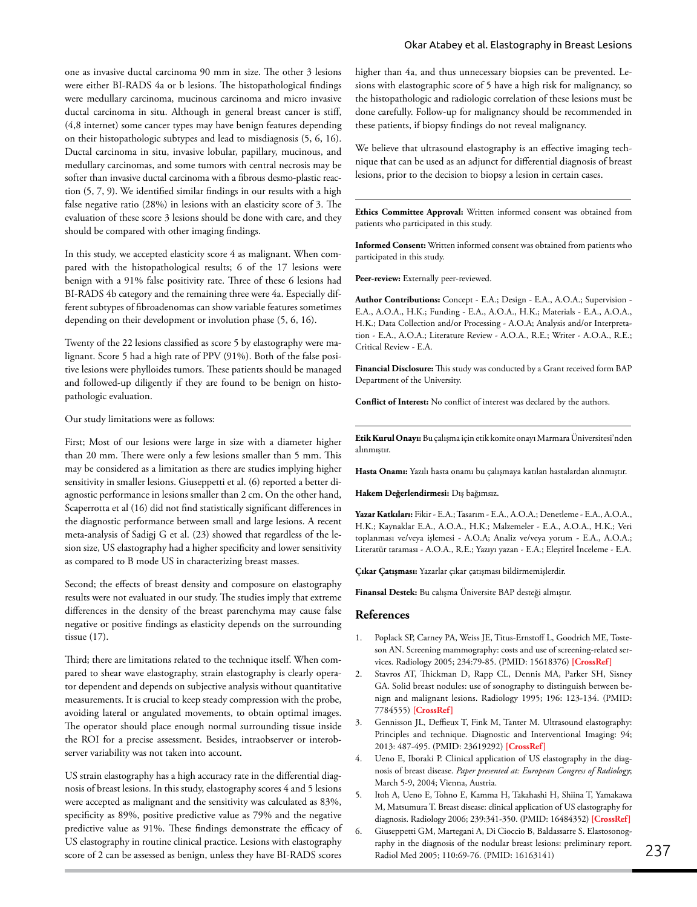one as invasive ductal carcinoma 90 mm in size. The other 3 lesions were either BI-RADS 4a or b lesions. The histopathological findings were medullary carcinoma, mucinous carcinoma and micro invasive ductal carcinoma in situ. Although in general breast cancer is stiff, (4,8 internet) some cancer types may have benign features depending on their histopathologic subtypes and lead to misdiagnosis (5, 6, 16). Ductal carcinoma in situ, invasive lobular, papillary, mucinous, and medullary carcinomas, and some tumors with central necrosis may be softer than invasive ductal carcinoma with a fibrous desmo-plastic reaction (5, 7, 9). We identified similar findings in our results with a high false negative ratio (28%) in lesions with an elasticity score of 3. The evaluation of these score 3 lesions should be done with care, and they should be compared with other imaging findings.

In this study, we accepted elasticity score 4 as malignant. When compared with the histopathological results; 6 of the 17 lesions were benign with a 91% false positivity rate. Three of these 6 lesions had BI-RADS 4b category and the remaining three were 4a. Especially different subtypes of fibroadenomas can show variable features sometimes depending on their development or involution phase (5, 6, 16).

Twenty of the 22 lesions classified as score 5 by elastography were malignant. Score 5 had a high rate of PPV (91%). Both of the false positive lesions were phylloides tumors. These patients should be managed and followed-up diligently if they are found to be benign on histopathologic evaluation.

#### Our study limitations were as follows:

First; Most of our lesions were large in size with a diameter higher than 20 mm. There were only a few lesions smaller than 5 mm. This may be considered as a limitation as there are studies implying higher sensitivity in smaller lesions. Giuseppetti et al. (6) reported a better diagnostic performance in lesions smaller than 2 cm. On the other hand, Scaperrotta et al (16) did not find statistically significant differences in the diagnostic performance between small and large lesions. A recent meta-analysis of Sadigj G et al. (23) showed that regardless of the lesion size, US elastography had a higher specificity and lower sensitivity as compared to B mode US in characterizing breast masses.

Second; the effects of breast density and composure on elastography results were not evaluated in our study. The studies imply that extreme differences in the density of the breast parenchyma may cause false negative or positive findings as elasticity depends on the surrounding tissue (17).

Third; there are limitations related to the technique itself. When compared to shear wave elastography, strain elastography is clearly operator dependent and depends on subjective analysis without quantitative measurements. It is crucial to keep steady compression with the probe, avoiding lateral or angulated movements, to obtain optimal images. The operator should place enough normal surrounding tissue inside the ROI for a precise assessment. Besides, intraobserver or interobserver variability was not taken into account.

US strain elastography has a high accuracy rate in the differential diagnosis of breast lesions. In this study, elastography scores 4 and 5 lesions were accepted as malignant and the sensitivity was calculated as 83%, specificity as 89%, positive predictive value as 79% and the negative predictive value as 91%. These findings demonstrate the efficacy of US elastography in routine clinical practice. Lesions with elastography score of 2 can be assessed as benign, unless they have BI-RADS scores

higher than 4a, and thus unnecessary biopsies can be prevented. Lesions with elastographic score of 5 have a high risk for malignancy, so the histopathologic and radiologic correlation of these lesions must be done carefully. Follow-up for malignancy should be recommended in these patients, if biopsy findings do not reveal malignancy.

We believe that ultrasound elastography is an effective imaging technique that can be used as an adjunct for differential diagnosis of breast lesions, prior to the decision to biopsy a lesion in certain cases.

**Ethics Committee Approval:** Written informed consent was obtained from patients who participated in this study.

**Informed Consent:** Written informed consent was obtained from patients who participated in this study.

**Peer-review:** Externally peer-reviewed.

**Author Contributions:** Concept - E.A.; Design - E.A., A.O.A.; Supervision - E.A., A.O.A., H.K.; Funding - E.A., A.O.A., H.K.; Materials - E.A., A.O.A., H.K.; Data Collection and/or Processing - A.O.A; Analysis and/or Interpretation - E.A., A.O.A.; Literature Review - A.O.A., R.E.; Writer - A.O.A., R.E.; Critical Review - E.A.

**Financial Disclosure:** This study was conducted by a Grant received form BAP Department of the University.

**Conflict of Interest:** No conflict of interest was declared by the authors.

**Etik Kurul Onayı:** Bu çalışma için etik komite onayı Marmara Üniversitesi'nden alınmıştır.

**Hasta Onamı:** Yazılı hasta onamı bu çalışmaya katılan hastalardan alınmıştır.

**Hakem Değerlendirmesi:** Dış bağımsız.

**Yazar Katkıları:** Fikir - E.A.; Tasarım - E.A., A.O.A.; Denetleme - E.A., A.O.A., H.K.; Kaynaklar E.A., A.O.A., H.K.; Malzemeler - E.A., A.O.A., H.K.; Veri toplanması ve/veya işlemesi - A.O.A; Analiz ve/veya yorum - E.A., A.O.A.; Literatür taraması - A.O.A., R.E.; Yazıyı yazan - E.A.; Eleştirel İnceleme - E.A.

**Çıkar Çatışması:** Yazarlar çıkar çatışması bildirmemişlerdir.

**Finansal Destek:** Bu calışma Üniversite BAP desteği almıştır.

## **References**

- 1. Poplack SP, Carney PA, Weiss JE, Titus-Ernstoff L, Goodrich ME, Tosteson AN. Screening mammography: costs and use of screening-related services. Radiology 2005; 234:79-85. (PMID: 15618376) **[[CrossRef\]](http://dx.doi.org/10.1148/radiol.2341040125)**
- 2. Stavros AT, Thickman D, Rapp CL, Dennis MA, Parker SH, Sisney GA. Solid breast nodules: use of sonography to distinguish between benign and malignant lesions. Radiology 1995; 196: 123-134. (PMID: 7784555) **[[CrossRef\]](http://dx.doi.org/10.1148/radiology.196.1.7784555)**
- 3. Gennisson JL, Deffieux T, Fink M, Tanter M. Ultrasound elastography: Principles and technique. Diagnostic and Interventional Imaging: 94; 2013: 487-495. (PMID: 23619292) **[[CrossRef\]](http://dx.doi.org/10.1016/j.diii.2013.01.022)**
- 4. Ueno E, Iboraki P. Clinical application of US elastography in the diagnosis of breast disease. *Paper presented at: European Congress of Radiology*; March 5-9, 2004; Vienna, Austria.
- 5. Itoh A, Ueno E, Tohno E, Kamma H, Takahashi H, Shiina T, Yamakawa M, Matsumura T. Breast disease: clinical application of US elastography for diagnosis. Radiology 2006; 239:341-350. (PMID: 16484352) **[[CrossRef](http://dx.doi.org/10.1148/radiol.2391041676)]**
- 6. Giuseppetti GM, Martegani A, Di Cioccio B, Baldassarre S. Elastosonography in the diagnosis of the nodular breast lesions: preliminary report. Radiol Med 2005; 110:69-76. (PMID: 16163141)